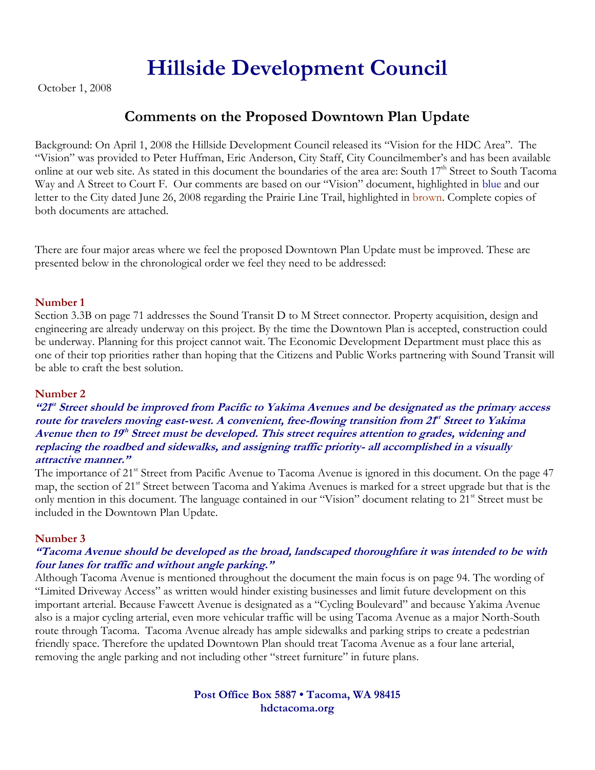## **Hillside Development Council**

October 1, 2008

### **Comments on the Proposed Downtown Plan Update**

Background: On April 1, 2008 the Hillside Development Council released its "Vision for the HDC Area". The "Vision" was provided to Peter Huffman, Eric Anderson, City Staff, City Councilmember's and has been available online at our web site. As stated in this document the boundaries of the area are: South 17<sup>th</sup> Street to South Tacoma Way and A Street to Court F. Our comments are based on our "Vision" document, highlighted in blue and our letter to the City dated June 26, 2008 regarding the Prairie Line Trail, highlighted in brown. Complete copies of both documents are attached.

There are four major areas where we feel the proposed Downtown Plan Update must be improved. These are presented below in the chronological order we feel they need to be addressed:

### **Number 1**

Section 3.3B on page 71 addresses the Sound Transit D to M Street connector. Property acquisition, design and engineering are already underway on this project. By the time the Downtown Plan is accepted, construction could be underway. Planning for this project cannot wait. The Economic Development Department must place this as one of their top priorities rather than hoping that the Citizens and Public Works partnering with Sound Transit will be able to craft the best solution.

### **Number 2**

**"21st Street should be improved from Pacific to Yakima Avenues and be designated as the primary access**  route for travelers moving east-west. A convenient, free-flowing transition from 2<sup>pt</sup> Street to Yakima **Avenue then to 19th Street must be developed. This street requires attention to grades, widening and replacing the roadbed and sidewalks, and assigning traffic priority- all accomplished in a visually attractive manner."**

The importance of 21<sup>st</sup> Street from Pacific Avenue to Tacoma Avenue is ignored in this document. On the page 47 map, the section of 21<sup>st</sup> Street between Tacoma and Yakima Avenues is marked for a street upgrade but that is the only mention in this document. The language contained in our "Vision" document relating to 21<sup>st</sup> Street must be included in the Downtown Plan Update.

### **Number 3**

### **"Tacoma Avenue should be developed as the broad, landscaped thoroughfare it was intended to be with four lanes for traffic and without angle parking."**

Although Tacoma Avenue is mentioned throughout the document the main focus is on page 94. The wording of "Limited Driveway Access" as written would hinder existing businesses and limit future development on this important arterial. Because Fawcett Avenue is designated as a "Cycling Boulevard" and because Yakima Avenue also is a major cycling arterial, even more vehicular traffic will be using Tacoma Avenue as a major North-South route through Tacoma. Tacoma Avenue already has ample sidewalks and parking strips to create a pedestrian friendly space. Therefore the updated Downtown Plan should treat Tacoma Avenue as a four lane arterial, removing the angle parking and not including other "street furniture" in future plans.

> **Post Office Box 5887 • Tacoma, WA 98415 hdctacoma.org**